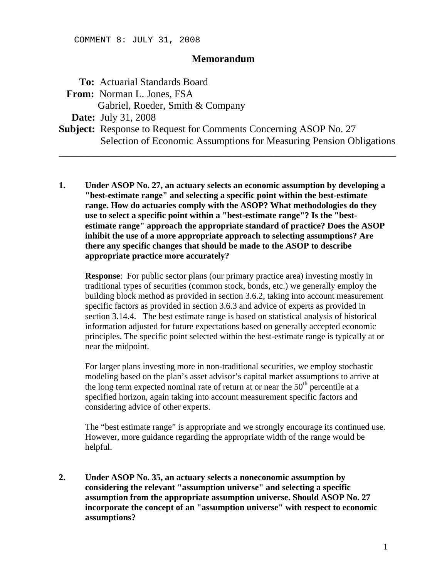## **Memorandum**

 **To:** Actuarial Standards Board  **From:** Norman L. Jones, FSA Gabriel, Roeder, Smith & Company  **Date:** July 31, 2008 **Subject:** Response to Request for Comments Concerning ASOP No. 27 Selection of Economic Assumptions for Measuring Pension Obligations **\_\_\_\_\_\_\_\_\_\_\_\_\_\_\_\_\_\_\_\_\_\_\_\_\_\_\_\_\_\_\_\_\_\_\_\_\_\_\_\_\_\_\_\_\_\_\_\_\_\_\_\_\_\_\_\_\_\_\_\_\_\_\_\_\_\_** 

**1. Under ASOP No. 27, an actuary selects an economic assumption by developing a "best-estimate range" and selecting a specific point within the best-estimate range. How do actuaries comply with the ASOP? What methodologies do they use to select a specific point within a "best-estimate range"? Is the "bestestimate range" approach the appropriate standard of practice? Does the ASOP inhibit the use of a more appropriate approach to selecting assumptions? Are there any specific changes that should be made to the ASOP to describe appropriate practice more accurately?** 

**Response**: For public sector plans (our primary practice area) investing mostly in traditional types of securities (common stock, bonds, etc.) we generally employ the building block method as provided in section 3.6.2, taking into account measurement specific factors as provided in section 3.6.3 and advice of experts as provided in section 3.14.4. The best estimate range is based on statistical analysis of historical information adjusted for future expectations based on generally accepted economic principles. The specific point selected within the best-estimate range is typically at or near the midpoint.

For larger plans investing more in non-traditional securities, we employ stochastic modeling based on the plan's asset advisor's capital market assumptions to arrive at the long term expected nominal rate of return at or near the  $50<sup>th</sup>$  percentile at a specified horizon, again taking into account measurement specific factors and considering advice of other experts.

The "best estimate range" is appropriate and we strongly encourage its continued use. However, more guidance regarding the appropriate width of the range would be helpful.

**2. Under ASOP No. 35, an actuary selects a noneconomic assumption by considering the relevant "assumption universe" and selecting a specific assumption from the appropriate assumption universe. Should ASOP No. 27 incorporate the concept of an "assumption universe" with respect to economic assumptions?**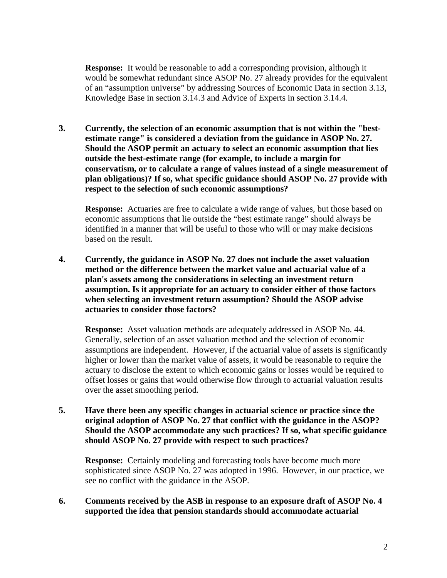**Response:** It would be reasonable to add a corresponding provision, although it would be somewhat redundant since ASOP No. 27 already provides for the equivalent of an "assumption universe" by addressing Sources of Economic Data in section 3.13, Knowledge Base in section 3.14.3 and Advice of Experts in section 3.14.4.

**3. Currently, the selection of an economic assumption that is not within the "bestestimate range" is considered a deviation from the guidance in ASOP No. 27. Should the ASOP permit an actuary to select an economic assumption that lies outside the best-estimate range (for example, to include a margin for conservatism, or to calculate a range of values instead of a single measurement of plan obligations)? If so, what specific guidance should ASOP No. 27 provide with respect to the selection of such economic assumptions?** 

**Response:** Actuaries are free to calculate a wide range of values, but those based on economic assumptions that lie outside the "best estimate range" should always be identified in a manner that will be useful to those who will or may make decisions based on the result.

**4. Currently, the guidance in ASOP No. 27 does not include the asset valuation method or the difference between the market value and actuarial value of a plan's assets among the considerations in selecting an investment return assumption. Is it appropriate for an actuary to consider either of those factors when selecting an investment return assumption? Should the ASOP advise actuaries to consider those factors?** 

**Response:** Asset valuation methods are adequately addressed in ASOP No. 44. Generally, selection of an asset valuation method and the selection of economic assumptions are independent. However, if the actuarial value of assets is significantly higher or lower than the market value of assets, it would be reasonable to require the actuary to disclose the extent to which economic gains or losses would be required to offset losses or gains that would otherwise flow through to actuarial valuation results over the asset smoothing period.

**5. Have there been any specific changes in actuarial science or practice since the original adoption of ASOP No. 27 that conflict with the guidance in the ASOP? Should the ASOP accommodate any such practices? If so, what specific guidance should ASOP No. 27 provide with respect to such practices?** 

**Response:** Certainly modeling and forecasting tools have become much more sophisticated since ASOP No. 27 was adopted in 1996. However, in our practice, we see no conflict with the guidance in the ASOP.

**6. Comments received by the ASB in response to an exposure draft of ASOP No. 4 supported the idea that pension standards should accommodate actuarial**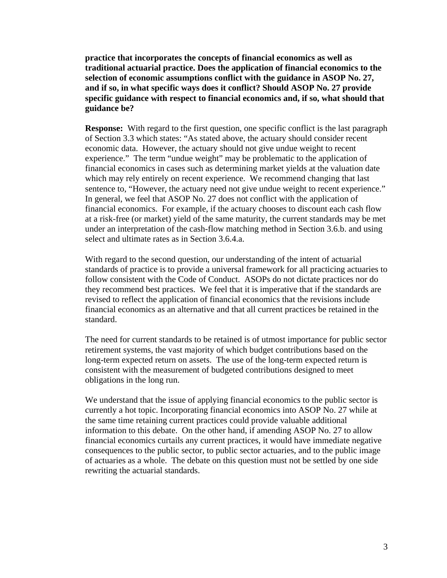**practice that incorporates the concepts of financial economics as well as traditional actuarial practice. Does the application of financial economics to the selection of economic assumptions conflict with the guidance in ASOP No. 27, and if so, in what specific ways does it conflict? Should ASOP No. 27 provide specific guidance with respect to financial economics and, if so, what should that guidance be?** 

**Response:** With regard to the first question, one specific conflict is the last paragraph of Section 3.3 which states: "As stated above, the actuary should consider recent economic data. However, the actuary should not give undue weight to recent experience." The term "undue weight" may be problematic to the application of financial economics in cases such as determining market yields at the valuation date which may rely entirely on recent experience. We recommend changing that last sentence to, "However, the actuary need not give undue weight to recent experience." In general, we feel that ASOP No. 27 does not conflict with the application of financial economics. For example, if the actuary chooses to discount each cash flow at a risk-free (or market) yield of the same maturity, the current standards may be met under an interpretation of the cash-flow matching method in Section 3.6.b. and using select and ultimate rates as in Section 3.6.4.a.

With regard to the second question, our understanding of the intent of actuarial standards of practice is to provide a universal framework for all practicing actuaries to follow consistent with the Code of Conduct. ASOPs do not dictate practices nor do they recommend best practices. We feel that it is imperative that if the standards are revised to reflect the application of financial economics that the revisions include financial economics as an alternative and that all current practices be retained in the standard.

The need for current standards to be retained is of utmost importance for public sector retirement systems, the vast majority of which budget contributions based on the long-term expected return on assets. The use of the long-term expected return is consistent with the measurement of budgeted contributions designed to meet obligations in the long run.

We understand that the issue of applying financial economics to the public sector is currently a hot topic. Incorporating financial economics into ASOP No. 27 while at the same time retaining current practices could provide valuable additional information to this debate. On the other hand, if amending ASOP No. 27 to allow financial economics curtails any current practices, it would have immediate negative consequences to the public sector, to public sector actuaries, and to the public image of actuaries as a whole. The debate on this question must not be settled by one side rewriting the actuarial standards.